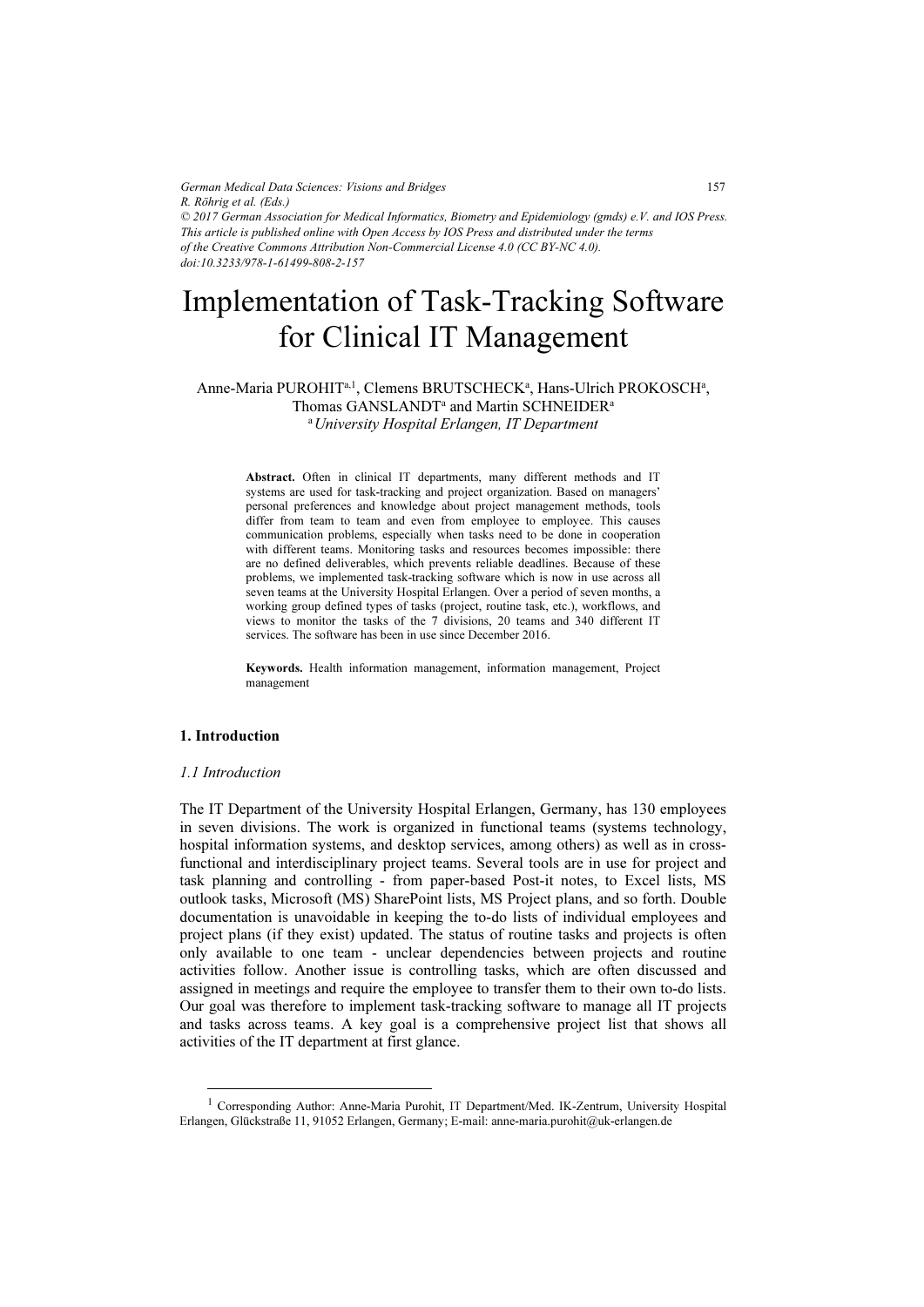*German Medical Data Sciences: Visions and Bridges R. Röhrig et al. (Eds.) © 2017 German Association for Medical Informatics, Biometry and Epidemiology (gmds) e.V. and IOS Press. This article is published online with Open Access by IOS Press and distributed under the terms of the Creative Commons Attribution Non-Commercial License 4.0 (CC BY-NC 4.0). doi:10.3233/978-1-61499-808-2-157*

# $\int$  for Clinical IT Management for Clinical IT Management

Anne-Maria PUROHIT<sup>a, 1</sup>, Clemens BRUTSCHECK<sup>a</sup>, Hans-Ulrich PROKOSCH<sup>a</sup>, Thomas GANSLANDT<sup>a</sup> and Martin SCHNEIDER<sup>a</sup> <sup>a</sup> University Hospital Erlangen, IT Department

Abstract. Often in clinical IT departments, many different methods and IT systems are used for task-tracking and project organization. Based on managers' personal preferences and knowledge about project management methods, tools differ from team to team and even from employee to employee. This causes communication problems, especially when tasks need to be done in cooperation with different teams. Monitoring tasks and resources becomes impossible: there are no defined deliverables, which prevents reliable deadlines. Because of these problems, we implemented task-tracking software which is now in use across all seven teams at the University Hospital Erlangen. Over a period of seven months, a working group defined types of tasks (project, routine task, etc.), workflows, and views to monitor the tasks of the 7 divisions, 20 teams and 340 different IT services. The software has been in use since December 2016.

Keywords. Health information management, information management, Project management

#### 1. Introduction

#### 1.1 Introduction

-

The IT Department of the University Hospital Erlangen, Germany, has 130 employees in seven divisions. The work is organized in functional teams (systems technology, hospital information systems, and desktop services, among others) as well as in crossfunctional and interdisciplinary project teams. Several tools are in use for project and task planning and controlling - from paper-based Post-it notes, to Excel lists, MS outlook tasks, Microsoft (MS) SharePoint lists, MS Project plans, and so forth. Double documentation is unavoidable in keeping the to-do lists of individual employees and project plans (if they exist) updated. The status of routine tasks and projects is often only available to one team - unclear dependencies between projects and routine activities follow. Another issue is controlling tasks, which are often discussed and assigned in meetings and require the employee to transfer them to their own to-do lists. Our goal was therefore to implement task-tracking software to manage all IT projects and tasks across teams. A key goal is a comprehensive project list that shows all activities of the IT department at first glance.

<sup>&</sup>lt;sup>1</sup> Corresponding Author: Anne-Maria Purohit, IT Department/Med. IK-Zentrum, University Hospital Erlangen, Glückstraße 11, 91052 Erlangen, Germany; E-mail: anne-maria.purohit@uk-erlangen.de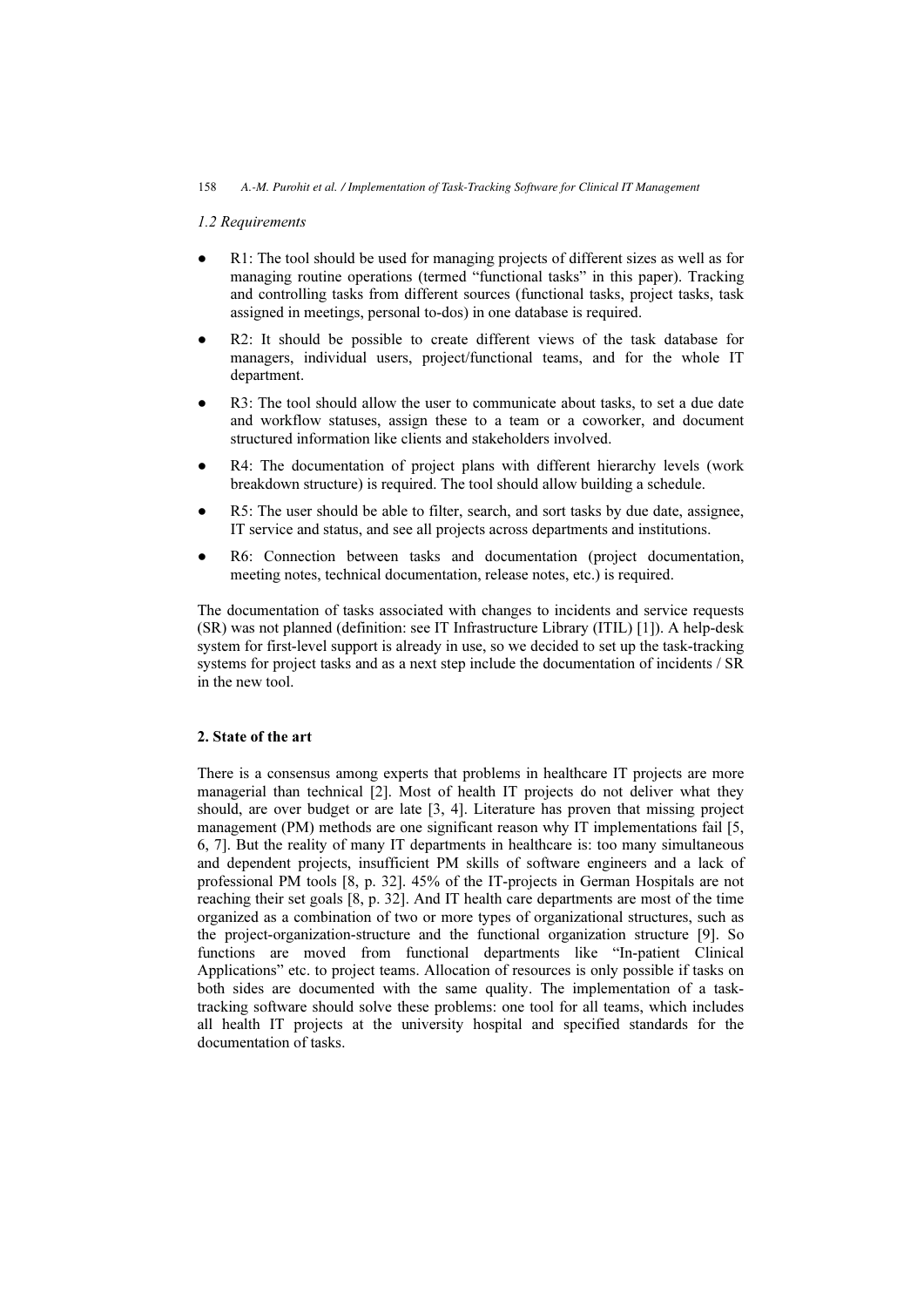# 1.2 Requirements

- R1: The tool should be used for managing projects of different sizes as well as for managing routine operations (termed "functional tasks" in this paper). Tracking and controlling tasks from different sources (functional tasks, project tasks, task assigned in meetings, personal to-dos) in one database is required.
- R2: It should be possible to create different views of the task database for managers, individual users, project/functional teams, and for the whole IT department.
- R3: The tool should allow the user to communicate about tasks, to set a due date and workflow statuses, assign these to a team or a coworker, and document structured information like clients and stakeholders involved.
- R4: The documentation of project plans with different hierarchy levels (work breakdown structure) is required. The tool should allow building a schedule.
- R5: The user should be able to filter, search, and sort tasks by due date, assignee, IT service and status, and see all projects across departments and institutions.
- R6: Connection between tasks and documentation (project documentation, meeting notes, technical documentation, release notes, etc.) is required.

The documentation of tasks associated with changes to incidents and service requests (SR) was not planned (definition: see IT Infrastructure Library (ITIL) [1]). A help-desk system for first-level support is already in use, so we decided to set up the task-tracking systems for project tasks and as a next step include the documentation of incidents / SR in the new tool.

# 2. State of the art

There is a consensus among experts that problems in healthcare IT projects are more managerial than technical [2]. Most of health IT projects do not deliver what they should, are over budget or are late [3, 4]. Literature has proven that missing project management (PM) methods are one significant reason why IT implementations fail [5, 6, 7]. But the reality of many IT departments in healthcare is: too many simultaneous and dependent projects, insufficient PM skills of software engineers and a lack of professional PM tools [8, p. 32]. 45% of the IT-projects in German Hospitals are not reaching their set goals [8, p. 32]. And IT health care departments are most of the time organized as a combination of two or more types of organizational structures, such as the project-organization-structure and the functional organization structure [9]. So functions are moved from functional departments like "In-patient Clinical Applications" etc. to project teams. Allocation of resources is only possible if tasks on both sides are documented with the same quality. The implementation of a tasktracking software should solve these problems: one tool for all teams, which includes all health IT projects at the university hospital and specified standards for the documentation of tasks.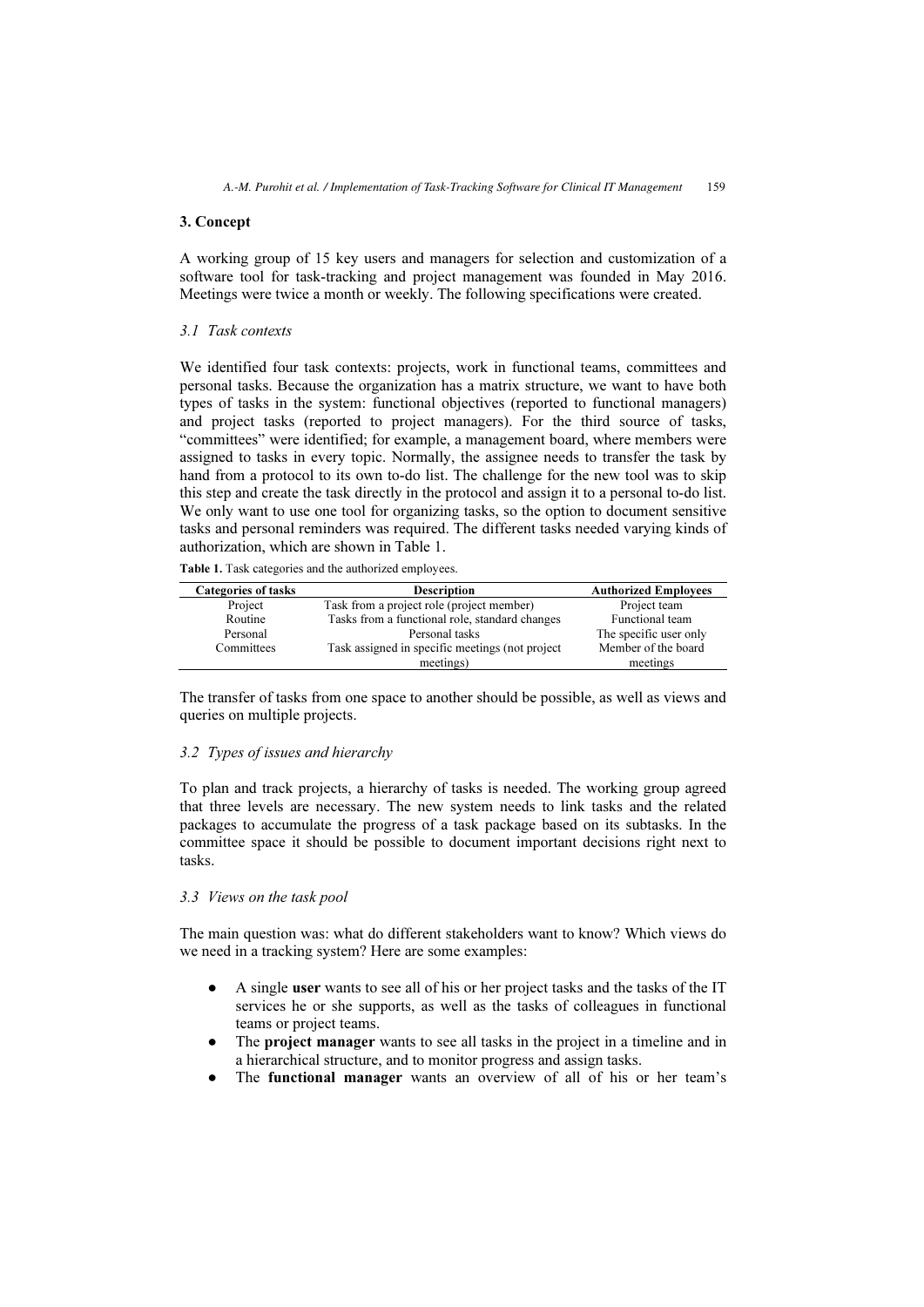# 3. Concept

A working group of 15 key users and managers for selection and customization of a software tool for task-tracking and project management was founded in May 2016. Meetings were twice a month or weekly. The following specifications were created.

## 3.1 Task contexts

We identified four task contexts: projects, work in functional teams, committees and personal tasks. Because the organization has a matrix structure, we want to have both types of tasks in the system: functional objectives (reported to functional managers) and project tasks (reported to project managers). For the third source of tasks, "committees" were identified; for example, a management board, where members were assigned to tasks in every topic. Normally, the assignee needs to transfer the task by hand from a protocol to its own to-do list. The challenge for the new tool was to skip this step and create the task directly in the protocol and assign it to a personal to-do list. We only want to use one tool for organizing tasks, so the option to document sensitive tasks and personal reminders was required. The different tasks needed varying kinds of authorization, which are shown in Table 1.

|  | <b>Table 1.</b> Task categories and the authorized employees. |
|--|---------------------------------------------------------------|
|--|---------------------------------------------------------------|

| <b>Categories of tasks</b> | <b>Description</b>                               | <b>Authorized Employees</b> |
|----------------------------|--------------------------------------------------|-----------------------------|
| Project                    | Task from a project role (project member)        | Project team                |
| Routine                    | Tasks from a functional role, standard changes   | Functional team             |
| Personal                   | Personal tasks                                   | The specific user only      |
| Committees                 | Task assigned in specific meetings (not project) | Member of the board         |
|                            | meetings)                                        | meetings                    |

The transfer of tasks from one space to another should be possible, as well as views and queries on multiple projects.

## 3.2 Types of issues and hierarchy

To plan and track projects, a hierarchy of tasks is needed. The working group agreed that three levels are necessary. The new system needs to link tasks and the related packages to accumulate the progress of a task package based on its subtasks. In the committee space it should be possible to document important decisions right next to tasks.

## 3.3 Views on the task pool

The main question was: what do different stakeholders want to know? Which views do we need in a tracking system? Here are some examples:

- A single user wants to see all of his or her project tasks and the tasks of the IT services he or she supports, as well as the tasks of colleagues in functional teams or project teams.
- The project manager wants to see all tasks in the project in a timeline and in a hierarchical structure, and to monitor progress and assign tasks.
- The functional manager wants an overview of all of his or her team's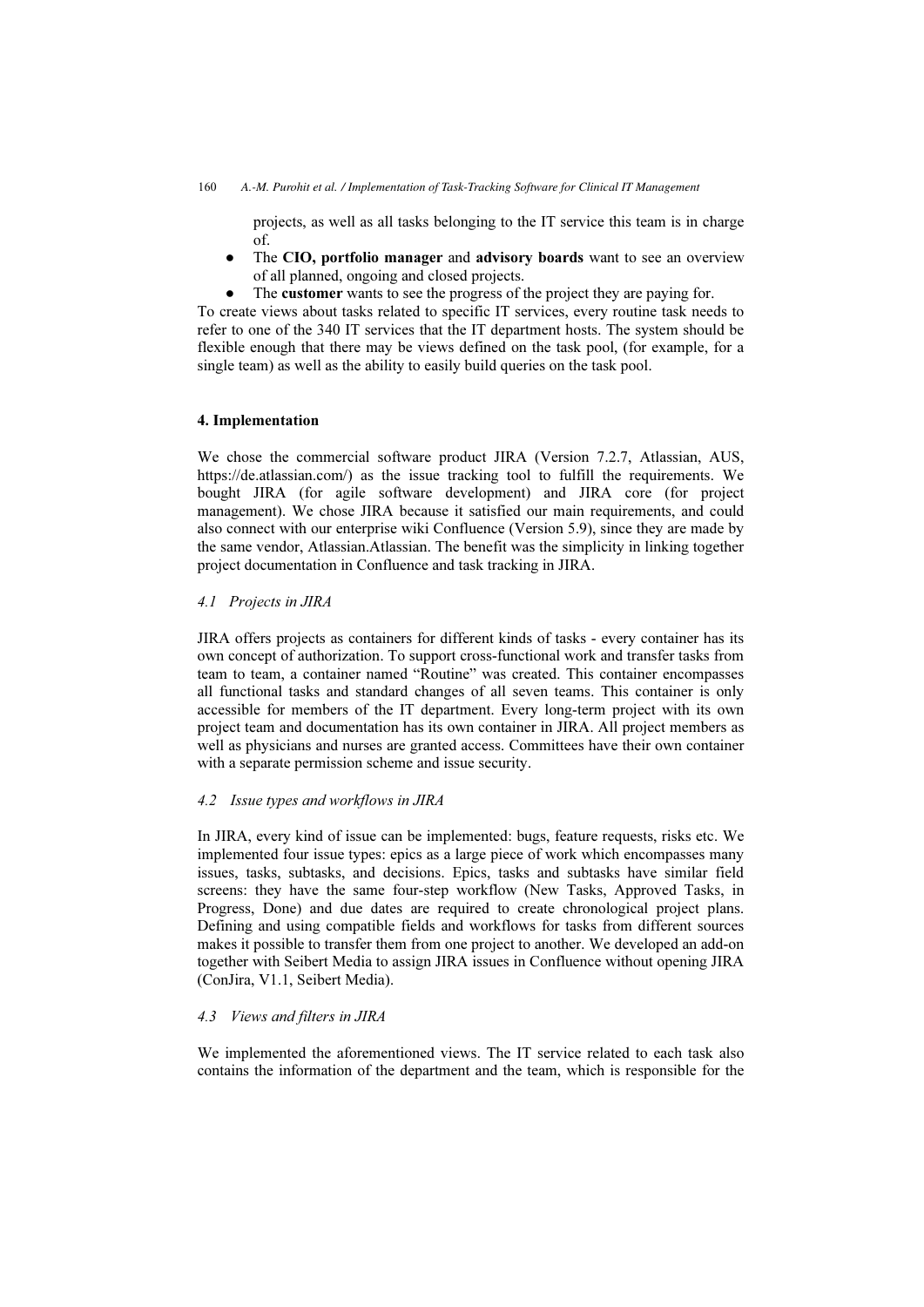projects, as well as all tasks belonging to the IT service this team is in charge of.

- The CIO, portfolio manager and advisory boards want to see an overview of all planned, ongoing and closed projects.
- The customer wants to see the progress of the project they are paying for.

To create views about tasks related to specific IT services, every routine task needs to refer to one of the 340 IT services that the IT department hosts. The system should be flexible enough that there may be views defined on the task pool, (for example, for a single team) as well as the ability to easily build queries on the task pool.

# 4. Implementation

We chose the commercial software product JIRA (Version 7.2.7, Atlassian, AUS, https://de.atlassian.com/) as the issue tracking tool to fulfill the requirements. We bought JIRA (for agile software development) and JIRA core (for project management). We chose JIRA because it satisfied our main requirements, and could also connect with our enterprise wiki Confluence (Version 5.9), since they are made by the same vendor, Atlassian.Atlassian. The benefit was the simplicity in linking together project documentation in Confluence and task tracking in JIRA.

# 4.1 Projects in JIRA

JIRA offers projects as containers for different kinds of tasks - every container has its own concept of authorization. To support cross-functional work and transfer tasks from team to team, a container named "Routine" was created. This container encompasses all functional tasks and standard changes of all seven teams. This container is only accessible for members of the IT department. Every long-term project with its own project team and documentation has its own container in JIRA. All project members as well as physicians and nurses are granted access. Committees have their own container with a separate permission scheme and issue security.

## 4.2 Issue types and workflows in JIRA

In JIRA, every kind of issue can be implemented: bugs, feature requests, risks etc. We implemented four issue types: epics as a large piece of work which encompasses many issues, tasks, subtasks, and decisions. Epics, tasks and subtasks have similar field screens: they have the same four-step workflow (New Tasks, Approved Tasks, in Progress, Done) and due dates are required to create chronological project plans. Defining and using compatible fields and workflows for tasks from different sources makes it possible to transfer them from one project to another. We developed an add-on together with Seibert Media to assign JIRA issues in Confluence without opening JIRA (ConJira, V1.1, Seibert Media).

## 4.3 Views and filters in JIRA

We implemented the aforementioned views. The IT service related to each task also contains the information of the department and the team, which is responsible for the